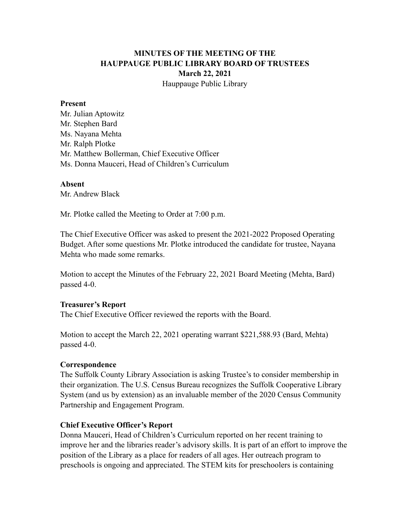# **MINUTES OF THE MEETING OF THE HAUPPAUGE PUBLIC LIBRARY BOARD OF TRUSTEES March 22, 2021** Hauppauge Public Library

#### **Present**

Mr. Julian Aptowitz Mr. Stephen Bard Ms. Nayana Mehta Mr. Ralph Plotke Mr. Matthew Bollerman, Chief Executive Officer Ms. Donna Mauceri, Head of Children's Curriculum

#### **Absent**

Mr. Andrew Black

Mr. Plotke called the Meeting to Order at 7:00 p.m.

The Chief Executive Officer was asked to present the 2021-2022 Proposed Operating Budget. After some questions Mr. Plotke introduced the candidate for trustee, Nayana Mehta who made some remarks.

Motion to accept the Minutes of the February 22, 2021 Board Meeting (Mehta, Bard) passed 4-0.

### **Treasurer's Report**

The Chief Executive Officer reviewed the reports with the Board.

Motion to accept the March 22, 2021 operating warrant \$221,588.93 (Bard, Mehta) passed 4-0.

### **Correspondence**

The Suffolk County Library Association is asking Trustee's to consider membership in their organization. The U.S. Census Bureau recognizes the Suffolk Cooperative Library System (and us by extension) as an invaluable member of the 2020 Census Community Partnership and Engagement Program.

### **Chief Executive Officer's Report**

Donna Mauceri, Head of Children's Curriculum reported on her recent training to improve her and the libraries reader's advisory skills. It is part of an effort to improve the position of the Library as a place for readers of all ages. Her outreach program to preschools is ongoing and appreciated. The STEM kits for preschoolers is containing